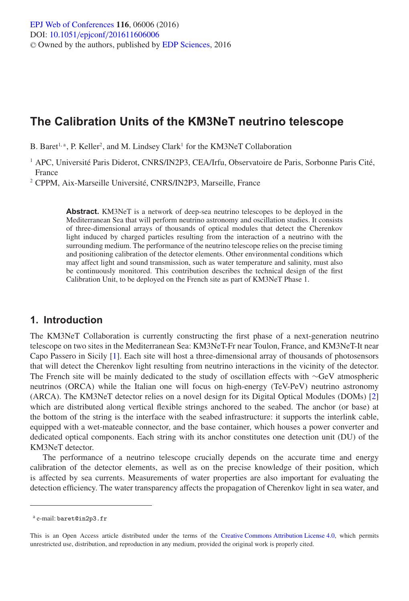# **The Calibration Units of the KM3NeT neutrino telescope**

B. Baret<sup>1, a</sup>, P. Keller<sup>2</sup>, and M. Lindsey Clark<sup>1</sup> for the KM3NeT Collaboration

<sup>1</sup> APC, Université Paris Diderot, CNRS/IN2P3, CEA/Irfu, Observatoire de Paris, Sorbonne Paris Cité, France

<sup>2</sup> CPPM, Aix-Marseille Université, CNRS/IN2P3, Marseille, France

**Abstract.** KM3NeT is a network of deep-sea neutrino telescopes to be deployed in the Mediterranean Sea that will perform neutrino astronomy and oscillation studies. It consists of three-dimensional arrays of thousands of optical modules that detect the Cherenkov light induced by charged particles resulting from the interaction of a neutrino with the surrounding medium. The performance of the neutrino telescope relies on the precise timing and positioning calibration of the detector elements. Other environmental conditions which may affect light and sound transmission, such as water temperature and salinity, must also be continuously monitored. This contribution describes the technical design of the first Calibration Unit, to be deployed on the French site as part of KM3NeT Phase 1.

### **1. Introduction**

The KM3NeT Collaboration is currently constructing the first phase of a next-generation neutrino telescope on two sites in the Mediterranean Sea: KM3NeT-Fr near Toulon, France, and KM3NeT-It near Capo Passero in Sicily [\[1\]](#page-3-0). Each site will host a three-dimensional array of thousands of photosensors that will detect the Cherenkov light resulting from neutrino interactions in the vicinity of the detector. The French site will be mainly dedicated to the study of oscillation effects with ∼GeV atmospheric neutrinos (ORCA) while the Italian one will focus on high-energy (TeV-PeV) neutrino astronomy (ARCA). The KM3NeT detector relies on a novel design for its Digital Optical Modules (DOMs) [\[2](#page-3-1)] which are distributed along vertical flexible strings anchored to the seabed. The anchor (or base) at the bottom of the string is the interface with the seabed infrastructure: it supports the interlink cable, equipped with a wet-mateable connector, and the base container, which houses a power converter and dedicated optical components. Each string with its anchor constitutes one detection unit (DU) of the KM3NeT detector.

The performance of a neutrino telescope crucially depends on the accurate time and energy calibration of the detector elements, as well as on the precise knowledge of their position, which is affected by sea currents. Measurements of water properties are also important for evaluating the detection efficiency. The water transparency affects the propagation of Cherenkov light in sea water, and

<sup>a</sup> e-mail: baret@in2p3.fr

This is an Open Access article distributed under the terms of the [Creative Commons Attribution License 4.0,](http://creativecommons.org/licenses/by/4.0/) which permits unrestricted use, distribution, and reproduction in any medium, provided the original work is properly cited.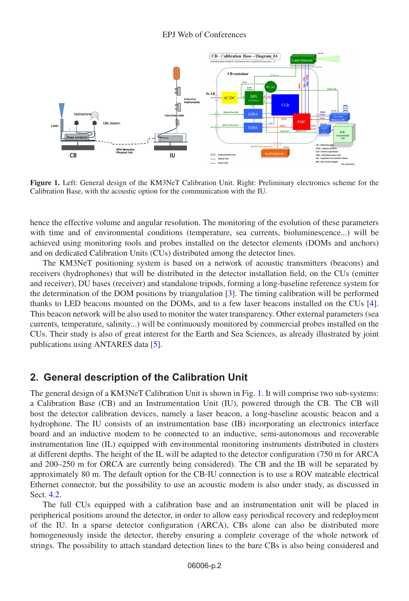#### EPJ Web of Conferences

<span id="page-1-0"></span>

**Figure 1.** Left: General design of the KM3NeT Calibration Unit. Right: Preliminary electronics scheme for the Calibration Base, with the acoustic option for the communication with the IU.

hence the effective volume and angular resolution. The monitoring of the evolution of these parameters with time and of environmental conditions (temperature, sea currents, bioluminescence...) will be achieved using monitoring tools and probes installed on the detector elements (DOMs and anchors) and on dedicated Calibration Units (CUs) distributed among the detector lines.

The KM3NeT positioning system is based on a network of acoustic transmitters (beacons) and receivers (hydrophones) that will be distributed in the detector installation field, on the CUs (emitter and receiver), DU bases (receiver) and standalone tripods, forming a long-baseline reference system for the determination of the DOM positions by triangulation [\[3\]](#page-3-2). The timing calibration will be performed thanks to LED beacons mounted on the DOMs, and to a few laser beacons installed on the CUs [\[4\]](#page-3-3). This beacon network will be also used to monitor the water transparency. Other external parameters (sea currents, temperature, salinity...) will be continuously monitored by commercial probes installed on the CUs. Their study is also of great interest for the Earth and Sea Sciences, as already illustrated by joint publications using ANTARES data [\[5\]](#page-3-4).

#### **2. General description of the Calibration Unit**

The general design of a KM3NeT Calibration Unit is shown in Fig. [1.](#page-1-0) It will comprise two sub-systems: a Calibration Base (CB) and an Instrumentation Unit (IU), powered through the CB. The CB will host the detector calibration devices, namely a laser beacon, a long-baseline acoustic beacon and a hydrophone. The IU consists of an instrumentation base (IB) incorporating an electronics interface board and an inductive modem to be connected to an inductive, semi-autonomous and recoverable instrumentation line (IL) equipped with environmental monitoring instruments distributed in clusters at different depths. The height of the IL will be adapted to the detector configuration (750 m for ARCA and 200–250 m for ORCA are currently being considered). The CB and the IB will be separated by approximately 80 m. The default option for the CB-IU connection is to use a ROV mateable electrical Ethernet connector, but the possibility to use an acoustic modem is also under study, as discussed in Sect. [4.2.](#page-3-5)

The full CUs equipped with a calibration base and an instrumentation unit will be placed in peripherical positions around the detector, in order to allow easy periodical recovery and redeployment of the IU. In a sparse detector configuration (ARCA), CBs alone can also be distributed more homogeneously inside the detector, thereby ensuring a complete coverage of the whole network of strings. The possibility to attach standard detection lines to the bare CBs is also being considered and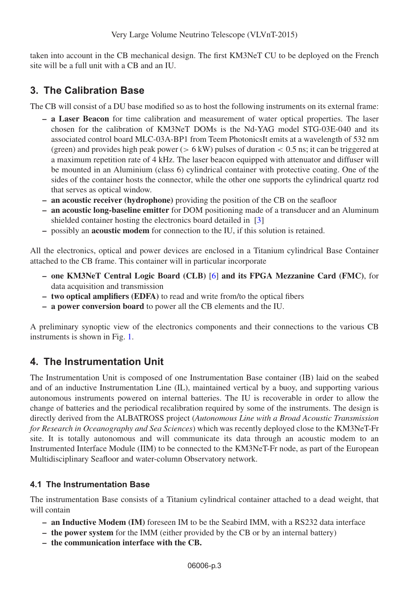Very Large Volume Neutrino Telescope (VLVnT-2015)

taken into account in the CB mechanical design. The first KM3NeT CU to be deployed on the French site will be a full unit with a CB and an IU.

### **3. The Calibration Base**

The CB will consist of a DU base modified so as to host the following instruments on its external frame:

- **a Laser Beacon** for time calibration and measurement of water optical properties. The laser chosen for the calibration of KM3NeT DOMs is the Nd-YAG model STG-03E-040 and its associated control board MLC-03A-BP1 from Teem PhotonicsIt emits at a wavelength of 532 nm (green) and provides high peak power ( $> 6$  kW) pulses of duration  $< 0.5$  ns; it can be triggered at a maximum repetition rate of 4 kHz. The laser beacon equipped with attenuator and diffuser will be mounted in an Aluminium (class 6) cylindrical container with protective coating. One of the sides of the container hosts the connector, while the other one supports the cylindrical quartz rod that serves as optical window.
- **an acoustic receiver (hydrophone)** providing the position of the CB on the seafloor
- **an acoustic long-baseline emitter** for DOM positioning made of a transducer and an Aluminum shielded container hosting the electronics board detailed in [\[3\]](#page-3-2)
- **–** possibly an **acoustic modem** for connection to the IU, if this solution is retained.

All the electronics, optical and power devices are enclosed in a Titanium cylindrical Base Container attached to the CB frame. This container will in particular incorporate

- **one KM3NeT Central Logic Board (CLB)** [\[6\]](#page-3-6) **and its FPGA Mezzanine Card (FMC)**, for data acquisition and transmission
- **two optical amplifiers (EDFA)** to read and write from/to the optical fibers
- **a power conversion board** to power all the CB elements and the IU.

A preliminary synoptic view of the electronics components and their connections to the various CB instruments is shown in Fig. [1.](#page-1-0)

## **4. The Instrumentation Unit**

The Instrumentation Unit is composed of one Instrumentation Base container (IB) laid on the seabed and of an inductive Instrumentation Line (IL), maintained vertical by a buoy, and supporting various autonomous instruments powered on internal batteries. The IU is recoverable in order to allow the change of batteries and the periodical recalibration required by some of the instruments. The design is directly derived from the ALBATROSS project (*Autonomous Line with a Broad Acoustic Transmission for Research in Oceanography and Sea Sciences*) which was recently deployed close to the KM3NeT-Fr site. It is totally autonomous and will communicate its data through an acoustic modem to an Instrumented Interface Module (IIM) to be connected to the KM3NeT-Fr node, as part of the European Multidisciplinary Seafloor and water-column Observatory network.

### **4.1 The Instrumentation Base**

The instrumentation Base consists of a Titanium cylindrical container attached to a dead weight, that will contain

- **an Inductive Modem (IM)** foreseen IM to be the Seabird IMM, with a RS232 data interface
- **the power system** for the IMM (either provided by the CB or by an internal battery)
- **the communication interface with the CB.**